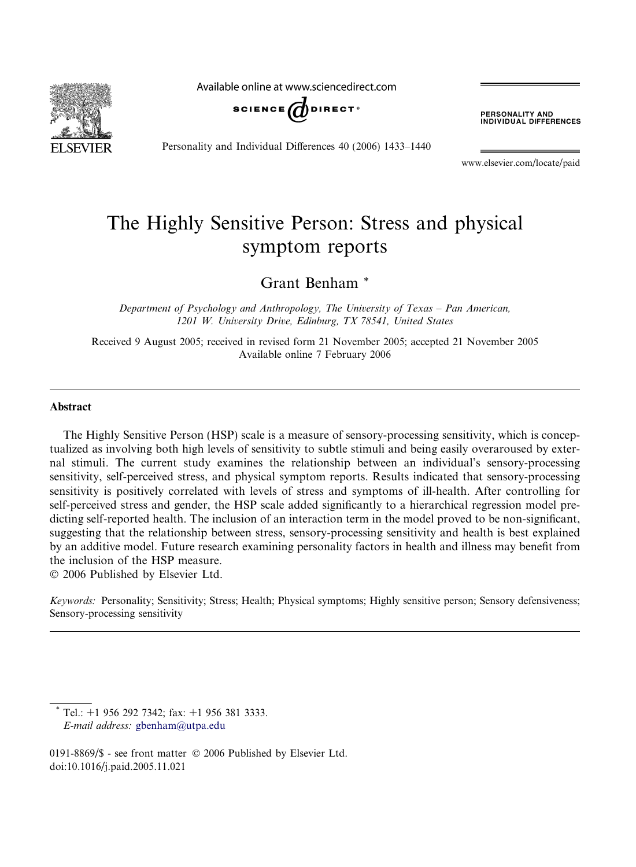

Available online at www.sciencedirect.com



Personality and Individual Differences 40 (2006) 1433–1440

**PERSONALITY AND<br>INDIVIDUAL DIFFERENCES** 

www.elsevier.com/locate/paid

# The Highly Sensitive Person: Stress and physical symptom reports

Grant Benham \*

Department of Psychology and Anthropology, The University of Texas – Pan American, 1201 W. University Drive, Edinburg, TX 78541, United States

Received 9 August 2005; received in revised form 21 November 2005; accepted 21 November 2005 Available online 7 February 2006

#### Abstract

The Highly Sensitive Person (HSP) scale is a measure of sensory-processing sensitivity, which is conceptualized as involving both high levels of sensitivity to subtle stimuli and being easily overaroused by external stimuli. The current study examines the relationship between an individual's sensory-processing sensitivity, self-perceived stress, and physical symptom reports. Results indicated that sensory-processing sensitivity is positively correlated with levels of stress and symptoms of ill-health. After controlling for self-perceived stress and gender, the HSP scale added significantly to a hierarchical regression model predicting self-reported health. The inclusion of an interaction term in the model proved to be non-significant, suggesting that the relationship between stress, sensory-processing sensitivity and health is best explained by an additive model. Future research examining personality factors in health and illness may benefit from the inclusion of the HSP measure.

© 2006 Published by Elsevier Ltd.

Keywords: Personality; Sensitivity; Stress; Health; Physical symptoms; Highly sensitive person; Sensory defensiveness; Sensory-processing sensitivity

Tel.: +1 956 292 7342; fax: +1 956 381 3333. E-mail address: [gbenham@utpa.edu](mailto:gbenham@utpa.edu)

0191-8869/\$ - see front matter © 2006 Published by Elsevier Ltd. doi:10.1016/j.paid.2005.11.021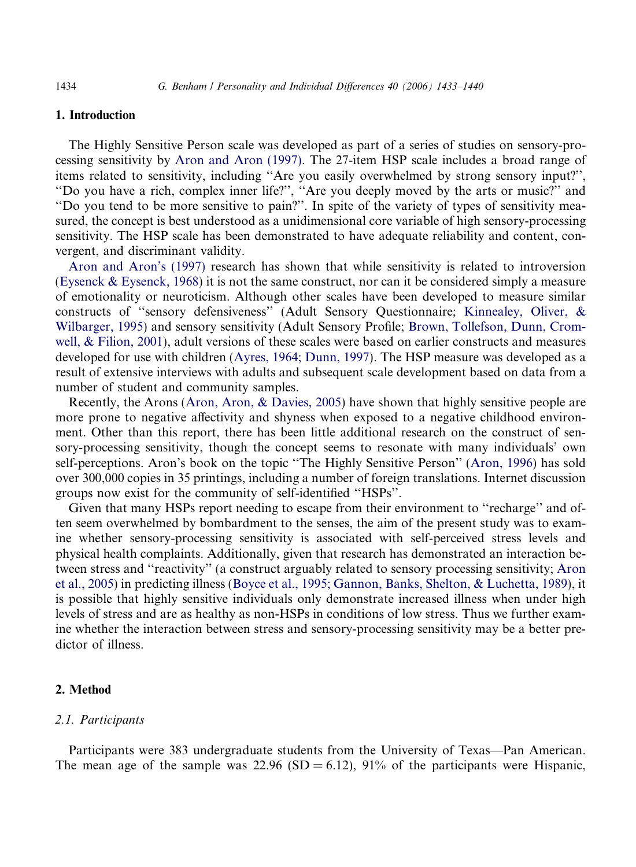#### 1. Introduction

The Highly Sensitive Person scale was developed as part of a series of studies on sensory-processing sensitivity by [Aron and Aron \(1997\)](#page-7-0). The 27-item HSP scale includes a broad range of items related to sensitivity, including ''Are you easily overwhelmed by strong sensory input?'', ''Do you have a rich, complex inner life?'', ''Are you deeply moved by the arts or music?'' and ''Do you tend to be more sensitive to pain?''. In spite of the variety of types of sensitivity measured, the concept is best understood as a unidimensional core variable of high sensory-processing sensitivity. The HSP scale has been demonstrated to have adequate reliability and content, convergent, and discriminant validity.

[Aron and Aron's \(1997\)](#page-7-0) research has shown that while sensitivity is related to introversion [\(Eysenck & Eysenck, 1968](#page-7-0)) it is not the same construct, nor can it be considered simply a measure of emotionality or neuroticism. Although other scales have been developed to measure similar constructs of ''sensory defensiveness'' (Adult Sensory Questionnaire; [Kinnealey, Oliver, &](#page-7-0) [Wilbarger, 1995\)](#page-7-0) and sensory sensitivity (Adult Sensory Profile; [Brown, Tollefson, Dunn, Crom](#page-7-0)[well, & Filion, 2001\)](#page-7-0), adult versions of these scales were based on earlier constructs and measures developed for use with children [\(Ayres, 1964; Dunn, 1997](#page-7-0)). The HSP measure was developed as a result of extensive interviews with adults and subsequent scale development based on data from a number of student and community samples.

Recently, the Arons [\(Aron, Aron, & Davies, 2005](#page-7-0)) have shown that highly sensitive people are more prone to negative affectivity and shyness when exposed to a negative childhood environment. Other than this report, there has been little additional research on the construct of sensory-processing sensitivity, though the concept seems to resonate with many individuals' own self-perceptions. Aron's book on the topic ''The Highly Sensitive Person'' ([Aron, 1996](#page-7-0)) has sold over 300,000 copies in 35 printings, including a number of foreign translations. Internet discussion groups now exist for the community of self-identified ''HSPs''.

Given that many HSPs report needing to escape from their environment to ''recharge'' and often seem overwhelmed by bombardment to the senses, the aim of the present study was to examine whether sensory-processing sensitivity is associated with self-perceived stress levels and physical health complaints. Additionally, given that research has demonstrated an interaction between stress and ''reactivity'' (a construct arguably related to sensory processing sensitivity; [Aron](#page-7-0) [et al., 2005](#page-7-0)) in predicting illness [\(Boyce et al., 1995; Gannon, Banks, Shelton, & Luchetta, 1989\)](#page-7-0), it is possible that highly sensitive individuals only demonstrate increased illness when under high levels of stress and are as healthy as non-HSPs in conditions of low stress. Thus we further examine whether the interaction between stress and sensory-processing sensitivity may be a better predictor of illness.

## 2. Method

#### 2.1. Participants

Participants were 383 undergraduate students from the University of Texas—Pan American. The mean age of the sample was  $22.96$  (SD = 6.12),  $91\%$  of the participants were Hispanic,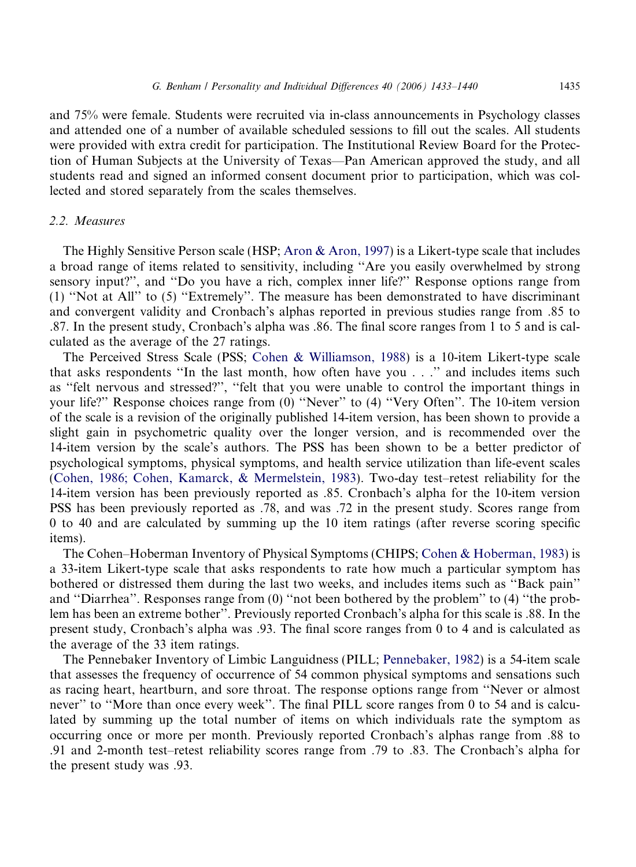and 75% were female. Students were recruited via in-class announcements in Psychology classes and attended one of a number of available scheduled sessions to fill out the scales. All students were provided with extra credit for participation. The Institutional Review Board for the Protection of Human Subjects at the University of Texas—Pan American approved the study, and all students read and signed an informed consent document prior to participation, which was collected and stored separately from the scales themselves.

### 2.2. Measures

The Highly Sensitive Person scale (HSP; [Aron & Aron, 1997](#page-7-0)) is a Likert-type scale that includes a broad range of items related to sensitivity, including ''Are you easily overwhelmed by strong sensory input?'', and ''Do you have a rich, complex inner life?'' Response options range from (1) ''Not at All'' to (5) ''Extremely''. The measure has been demonstrated to have discriminant and convergent validity and Cronbach's alphas reported in previous studies range from .85 to .87. In the present study, Cronbach's alpha was .86. The final score ranges from 1 to 5 and is calculated as the average of the 27 ratings.

The Perceived Stress Scale (PSS; [Cohen & Williamson, 1988\)](#page-7-0) is a 10-item Likert-type scale that asks respondents ''In the last month, how often have you . . .'' and includes items such as ''felt nervous and stressed?'', ''felt that you were unable to control the important things in your life?'' Response choices range from (0) ''Never'' to (4) ''Very Often''. The 10-item version of the scale is a revision of the originally published 14-item version, has been shown to provide a slight gain in psychometric quality over the longer version, and is recommended over the 14-item version by the scale's authors. The PSS has been shown to be a better predictor of psychological symptoms, physical symptoms, and health service utilization than life-event scales [\(Cohen, 1986; Cohen, Kamarck, & Mermelstein, 1983](#page-7-0)). Two-day test–retest reliability for the 14-item version has been previously reported as .85. Cronbach's alpha for the 10-item version PSS has been previously reported as .78, and was .72 in the present study. Scores range from 0 to 40 and are calculated by summing up the 10 item ratings (after reverse scoring specific items).

The Cohen–Hoberman Inventory of Physical Symptoms (CHIPS; [Cohen & Hoberman, 1983](#page-7-0)) is a 33-item Likert-type scale that asks respondents to rate how much a particular symptom has bothered or distressed them during the last two weeks, and includes items such as ''Back pain'' and ''Diarrhea''. Responses range from (0) ''not been bothered by the problem'' to (4) ''the problem has been an extreme bother''. Previously reported Cronbach's alpha for this scale is .88. In the present study, Cronbach's alpha was .93. The final score ranges from 0 to 4 and is calculated as the average of the 33 item ratings.

The Pennebaker Inventory of Limbic Languidness (PILL; [Pennebaker, 1982\)](#page-7-0) is a 54-item scale that assesses the frequency of occurrence of 54 common physical symptoms and sensations such as racing heart, heartburn, and sore throat. The response options range from ''Never or almost never'' to ''More than once every week''. The final PILL score ranges from 0 to 54 and is calculated by summing up the total number of items on which individuals rate the symptom as occurring once or more per month. Previously reported Cronbach's alphas range from .88 to .91 and 2-month test–retest reliability scores range from .79 to .83. The Cronbach's alpha for the present study was .93.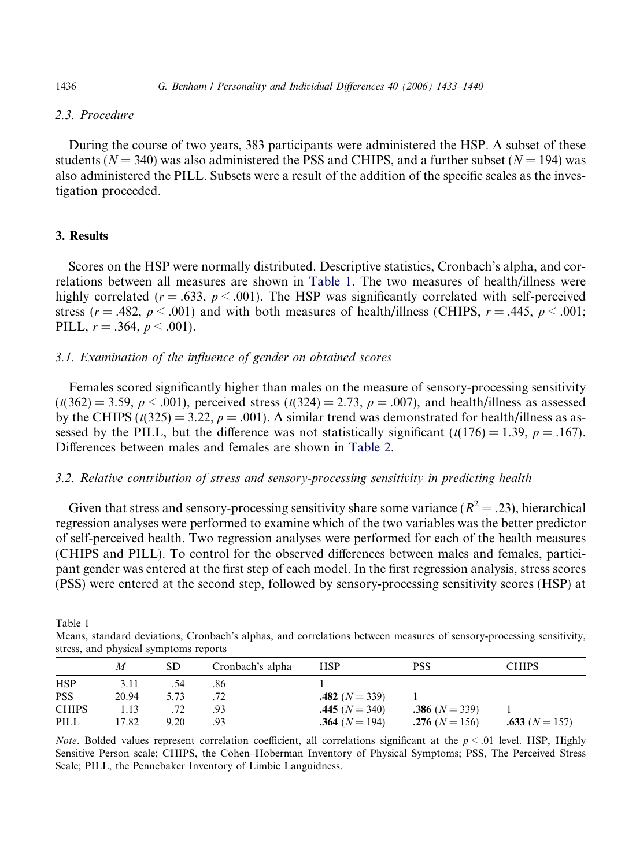## 2.3. Procedure

During the course of two years, 383 participants were administered the HSP. A subset of these students ( $N = 340$ ) was also administered the PSS and CHIPS, and a further subset ( $N = 194$ ) was also administered the PILL. Subsets were a result of the addition of the specific scales as the investigation proceeded.

## 3. Results

Scores on the HSP were normally distributed. Descriptive statistics, Cronbach's alpha, and correlations between all measures are shown in Table 1. The two measures of health/illness were highly correlated ( $r = .633$ ,  $p < .001$ ). The HSP was significantly correlated with self-perceived stress ( $r = .482$ ,  $p < .001$ ) and with both measures of health/illness (CHIPS,  $r = .445$ ,  $p < .001$ ; PILL,  $r = .364$ ,  $p < .001$ ).

## 3.1. Examination of the influence of gender on obtained scores

Females scored significantly higher than males on the measure of sensory-processing sensitivity  $(t(362) = 3.59, p < .001)$ , perceived stress  $(t(324) = 2.73, p = .007)$ , and health/illness as assessed by the CHIPS ( $t(325) = 3.22$ ,  $p = .001$ ). A similar trend was demonstrated for health/illness as assessed by the PILL, but the difference was not statistically significant  $(t(176) = 1.39, p = .167)$ . Differences between males and females are shown in [Table 2.](#page-4-0)

## 3.2. Relative contribution of stress and sensory-processing sensitivity in predicting health

Given that stress and sensory-processing sensitivity share some variance ( $R^2 = .23$ ), hierarchical regression analyses were performed to examine which of the two variables was the better predictor of self-perceived health. Two regression analyses were performed for each of the health measures (CHIPS and PILL). To control for the observed differences between males and females, participant gender was entered at the first step of each model. In the first regression analysis, stress scores (PSS) were entered at the second step, followed by sensory-processing sensitivity scores (HSP) at

Table 1

Means, standard deviations, Cronbach's alphas, and correlations between measures of sensory-processing sensitivity, stress, and physical symptoms reports

|              | M     | SD   | Cronbach's alpha | <b>HSP</b>           | PSS                  | <b>CHIPS</b>     |
|--------------|-------|------|------------------|----------------------|----------------------|------------------|
| <b>HSP</b>   | 3.11  | .54  | .86              |                      |                      |                  |
| <b>PSS</b>   | 20.94 | 5.73 |                  | $.482(N=339)$        |                      |                  |
| <b>CHIPS</b> | 1.13  |      | .93              | $.445(N = 340)$      | $.386(N=339)$        |                  |
| PILL         | 17.82 | 9.20 | .93              | $.364$ ( $N = 194$ ) | $.276$ ( $N = 156$ ) | .633 $(N = 157)$ |

*Note.* Bolded values represent correlation coefficient, all correlations significant at the  $p < .01$  level. HSP, Highly Sensitive Person scale; CHIPS, the Cohen–Hoberman Inventory of Physical Symptoms; PSS, The Perceived Stress Scale; PILL, the Pennebaker Inventory of Limbic Languidness.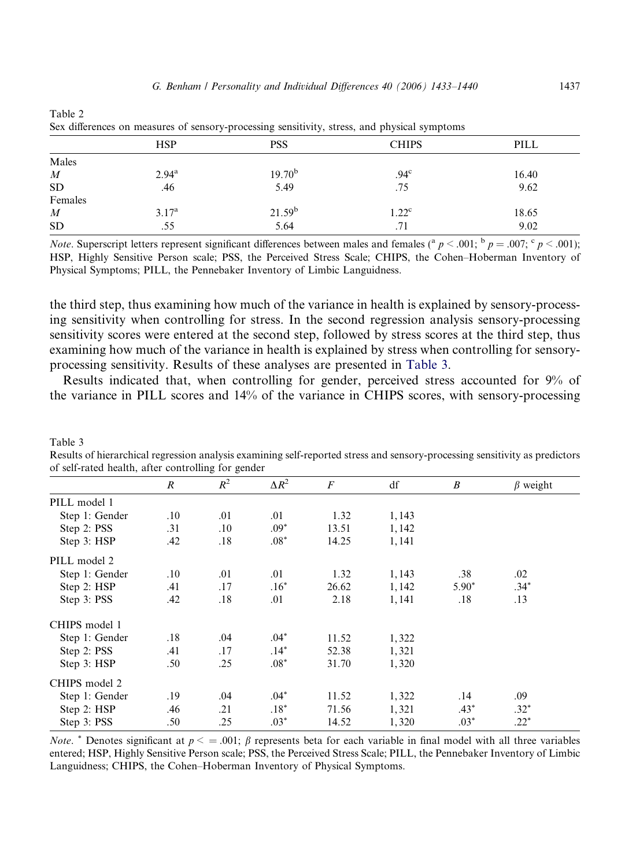|                  | <b>HSP</b>        | <b>PSS</b>         | <b>CHIPS</b>   | PILL  |
|------------------|-------------------|--------------------|----------------|-------|
| Males            |                   |                    |                |       |
| $\boldsymbol{M}$ | $2.94^{\rm a}$    | 19.70 <sup>b</sup> | $.94^{\circ}$  | 16.40 |
| ${\rm SD}$       | .46               | 5.49               | .75            | 9.62  |
| Females          |                   |                    |                |       |
| $\boldsymbol{M}$ | 3.17 <sup>a</sup> | 21.59 <sup>b</sup> | $1.22^{\circ}$ | 18.65 |
| <b>SD</b>        | .55               | 5.64               | .71            | 9.02  |

<span id="page-4-0"></span>Table 2 Sex differences on measures of sensory-processing sensitivity, stress, and physical symptoms

*Note.* Superscript letters represent significant differences between males and females (<sup>a</sup>  $p < .001$ ; <sup>b</sup>  $p = .007$ ; <sup>c</sup>  $p < .001$ ); HSP, Highly Sensitive Person scale; PSS, the Perceived Stress Scale; CHIPS, the Cohen–Hoberman Inventory of Physical Symptoms; PILL, the Pennebaker Inventory of Limbic Languidness.

the third step, thus examining how much of the variance in health is explained by sensory-processing sensitivity when controlling for stress. In the second regression analysis sensory-processing sensitivity scores were entered at the second step, followed by stress scores at the third step, thus examining how much of the variance in health is explained by stress when controlling for sensoryprocessing sensitivity. Results of these analyses are presented in Table 3.

Results indicated that, when controlling for gender, perceived stress accounted for 9% of the variance in PILL scores and 14% of the variance in CHIPS scores, with sensory-processing

Results of hierarchical regression analysis examining self-reported stress and sensory-processing sensitivity as predictors of self-rated health, after controlling for gender

Table 3

|                | $\boldsymbol{R}$ | $R^2$   | $\Delta R^2$ | $\boldsymbol{F}$ | df    | $\boldsymbol{B}$ | $\beta$ weight |
|----------------|------------------|---------|--------------|------------------|-------|------------------|----------------|
| PILL model 1   |                  |         |              |                  |       |                  |                |
| Step 1: Gender | .10              | .01     | .01          | 1.32             | 1,143 |                  |                |
| Step 2: PSS    | .31              | $.10\,$ | $.09*$       | 13.51            | 1,142 |                  |                |
| Step 3: HSP    | .42              | .18     | $.08*$       | 14.25            | 1,141 |                  |                |
| PILL model 2   |                  |         |              |                  |       |                  |                |
| Step 1: Gender | $.10\,$          | .01     | .01          | 1.32             | 1,143 | .38              | .02            |
| Step 2: HSP    | .41              | .17     | $.16*$       | 26.62            | 1,142 | $5.90*$          | $.34*$         |
| Step 3: PSS    | .42              | .18     | .01          | 2.18             | 1,141 | .18              | .13            |
| CHIPS model 1  |                  |         |              |                  |       |                  |                |
| Step 1: Gender | .18              | .04     | $.04*$       | 11.52            | 1,322 |                  |                |
| Step 2: PSS    | .41              | .17     | $.14*$       | 52.38            | 1,321 |                  |                |
| Step 3: HSP    | .50              | .25     | $.08*$       | 31.70            | 1,320 |                  |                |
| CHIPS model 2  |                  |         |              |                  |       |                  |                |
| Step 1: Gender | .19              | .04     | $.04*$       | 11.52            | 1,322 | .14              | .09            |
| Step 2: HSP    | .46              | .21     | $.18*$       | 71.56            | 1,321 | $.43*$           | $.32*$         |
| Step 3: PSS    | .50              | .25     | $.03*$       | 14.52            | 1,320 | $.03*$           | $.22*$         |

*Note.* \* Denotes significant at  $p < =.001$ ;  $\beta$  represents beta for each variable in final model with all three variables entered; HSP, Highly Sensitive Person scale; PSS, the Perceived Stress Scale; PILL, the Pennebaker Inventory of Limbic Languidness; CHIPS, the Cohen–Hoberman Inventory of Physical Symptoms.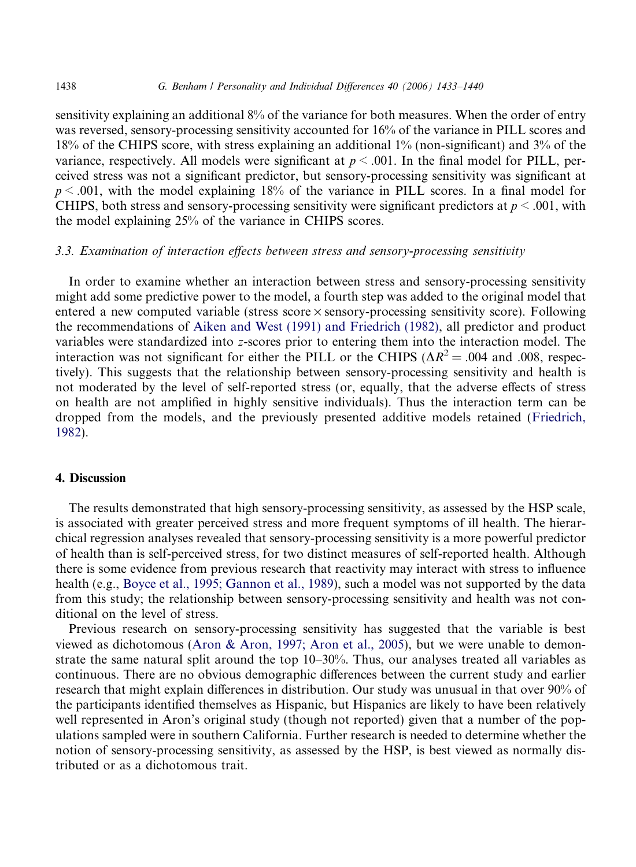sensitivity explaining an additional 8% of the variance for both measures. When the order of entry was reversed, sensory-processing sensitivity accounted for 16% of the variance in PILL scores and 18% of the CHIPS score, with stress explaining an additional 1% (non-significant) and 3% of the variance, respectively. All models were significant at  $p \le 0.001$ . In the final model for PILL, perceived stress was not a significant predictor, but sensory-processing sensitivity was significant at  $p \le 0.001$ , with the model explaining 18% of the variance in PILL scores. In a final model for CHIPS, both stress and sensory-processing sensitivity were significant predictors at  $p < .001$ , with the model explaining 25% of the variance in CHIPS scores.

## 3.3. Examination of interaction effects between stress and sensory-processing sensitivity

In order to examine whether an interaction between stress and sensory-processing sensitivity might add some predictive power to the model, a fourth step was added to the original model that entered a new computed variable (stress score  $\times$  sensory-processing sensitivity score). Following the recommendations of [Aiken and West \(1991\) and Friedrich \(1982\),](#page-7-0) all predictor and product variables were standardized into z-scores prior to entering them into the interaction model. The interaction was not significant for either the PILL or the CHIPS ( $\Delta R^2 = .004$  and .008, respectively). This suggests that the relationship between sensory-processing sensitivity and health is not moderated by the level of self-reported stress (or, equally, that the adverse effects of stress on health are not amplified in highly sensitive individuals). Thus the interaction term can be dropped from the models, and the previously presented additive models retained [\(Friedrich,](#page-7-0) [1982](#page-7-0)).

## 4. Discussion

The results demonstrated that high sensory-processing sensitivity, as assessed by the HSP scale, is associated with greater perceived stress and more frequent symptoms of ill health. The hierarchical regression analyses revealed that sensory-processing sensitivity is a more powerful predictor of health than is self-perceived stress, for two distinct measures of self-reported health. Although there is some evidence from previous research that reactivity may interact with stress to influence health (e.g., [Boyce et al., 1995; Gannon et al., 1989\)](#page-7-0), such a model was not supported by the data from this study; the relationship between sensory-processing sensitivity and health was not conditional on the level of stress.

Previous research on sensory-processing sensitivity has suggested that the variable is best viewed as dichotomous ([Aron & Aron, 1997; Aron et al., 2005](#page-7-0)), but we were unable to demonstrate the same natural split around the top 10–30%. Thus, our analyses treated all variables as continuous. There are no obvious demographic differences between the current study and earlier research that might explain differences in distribution. Our study was unusual in that over 90% of the participants identified themselves as Hispanic, but Hispanics are likely to have been relatively well represented in Aron's original study (though not reported) given that a number of the populations sampled were in southern California. Further research is needed to determine whether the notion of sensory-processing sensitivity, as assessed by the HSP, is best viewed as normally distributed or as a dichotomous trait.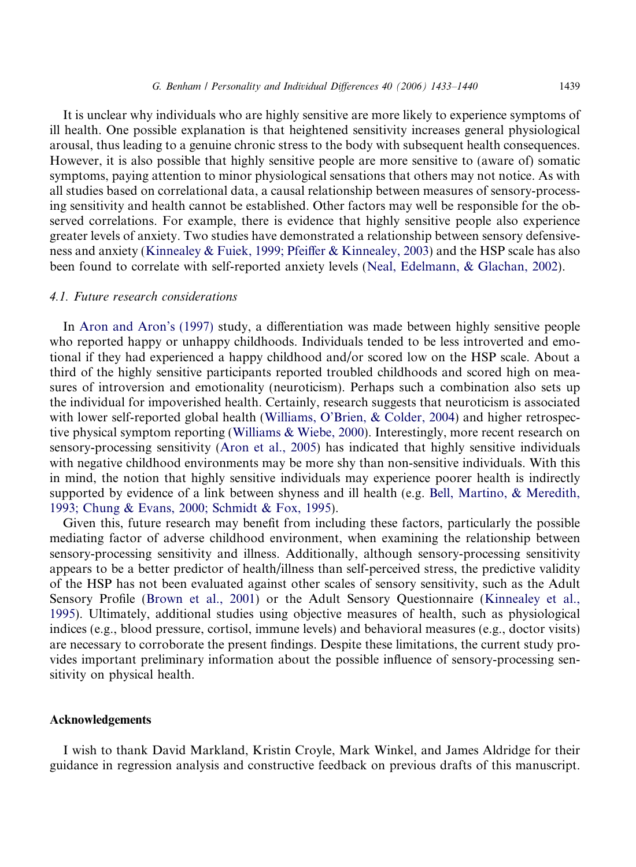It is unclear why individuals who are highly sensitive are more likely to experience symptoms of ill health. One possible explanation is that heightened sensitivity increases general physiological arousal, thus leading to a genuine chronic stress to the body with subsequent health consequences. However, it is also possible that highly sensitive people are more sensitive to (aware of) somatic symptoms, paying attention to minor physiological sensations that others may not notice. As with all studies based on correlational data, a causal relationship between measures of sensory-processing sensitivity and health cannot be established. Other factors may well be responsible for the observed correlations. For example, there is evidence that highly sensitive people also experience greater levels of anxiety. Two studies have demonstrated a relationship between sensory defensiveness and anxiety ([Kinnealey & Fuiek, 1999; Pfeiffer & Kinnealey, 2003](#page-7-0)) and the HSP scale has also been found to correlate with self-reported anxiety levels [\(Neal, Edelmann, & Glachan, 2002\)](#page-7-0).

#### 4.1. Future research considerations

In [Aron and Aron's \(1997\)](#page-7-0) study, a differentiation was made between highly sensitive people who reported happy or unhappy childhoods. Individuals tended to be less introverted and emotional if they had experienced a happy childhood and/or scored low on the HSP scale. About a third of the highly sensitive participants reported troubled childhoods and scored high on measures of introversion and emotionality (neuroticism). Perhaps such a combination also sets up the individual for impoverished health. Certainly, research suggests that neuroticism is associated with lower self-reported global health ([Williams, O'Brien, & Colder, 2004](#page-7-0)) and higher retrospective physical symptom reporting [\(Williams & Wiebe, 2000\)](#page-7-0). Interestingly, more recent research on sensory-processing sensitivity ([Aron et al., 2005\)](#page-7-0) has indicated that highly sensitive individuals with negative childhood environments may be more shy than non-sensitive individuals. With this in mind, the notion that highly sensitive individuals may experience poorer health is indirectly supported by evidence of a link between shyness and ill health (e.g. [Bell, Martino, & Meredith,](#page-7-0) [1993; Chung & Evans, 2000; Schmidt & Fox, 1995](#page-7-0)).

Given this, future research may benefit from including these factors, particularly the possible mediating factor of adverse childhood environment, when examining the relationship between sensory-processing sensitivity and illness. Additionally, although sensory-processing sensitivity appears to be a better predictor of health/illness than self-perceived stress, the predictive validity of the HSP has not been evaluated against other scales of sensory sensitivity, such as the Adult Sensory Profile [\(Brown et al., 2001\)](#page-7-0) or the Adult Sensory Questionnaire ([Kinnealey et al.,](#page-7-0) [1995](#page-7-0)). Ultimately, additional studies using objective measures of health, such as physiological indices (e.g., blood pressure, cortisol, immune levels) and behavioral measures (e.g., doctor visits) are necessary to corroborate the present findings. Despite these limitations, the current study provides important preliminary information about the possible influence of sensory-processing sensitivity on physical health.

#### Acknowledgements

I wish to thank David Markland, Kristin Croyle, Mark Winkel, and James Aldridge for their guidance in regression analysis and constructive feedback on previous drafts of this manuscript.